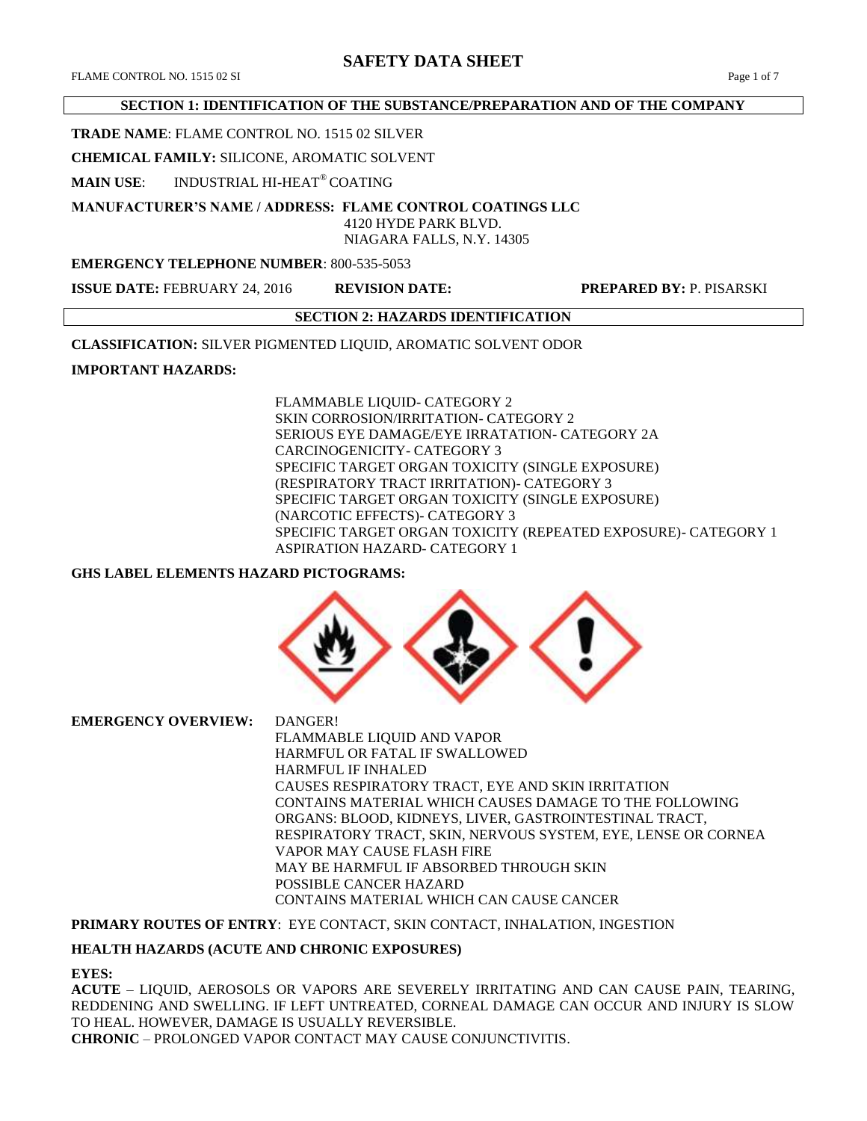# **SAFETY DATA SHEET**

#### **SECTION 1: IDENTIFICATION OF THE SUBSTANCE/PREPARATION AND OF THE COMPANY**

### **TRADE NAME**: FLAME CONTROL NO. 1515 02 SILVER

**CHEMICAL FAMILY:** SILICONE, AROMATIC SOLVENT

**MAIN USE**: INDUSTRIAL HI-HEAT® COATING

**MANUFACTURER'S NAME / ADDRESS: FLAME CONTROL COATINGS LLC**

#### 4120 HYDE PARK BLVD. NIAGARA FALLS, N.Y. 14305

### **EMERGENCY TELEPHONE NUMBER**: 800-535-5053

**ISSUE DATE:** FEBRUARY 24, 2016 **REVISION DATE: PREPARED BY:** P. PISARSKI

#### **SECTION 2: HAZARDS IDENTIFICATION**

**CLASSIFICATION:** SILVER PIGMENTED LIQUID, AROMATIC SOLVENT ODOR

## **IMPORTANT HAZARDS:**

FLAMMABLE LIQUID- CATEGORY 2 SKIN CORROSION/IRRITATION- CATEGORY 2 SERIOUS EYE DAMAGE/EYE IRRATATION- CATEGORY 2A CARCINOGENICITY- CATEGORY 3 SPECIFIC TARGET ORGAN TOXICITY (SINGLE EXPOSURE) (RESPIRATORY TRACT IRRITATION)- CATEGORY 3 SPECIFIC TARGET ORGAN TOXICITY (SINGLE EXPOSURE) (NARCOTIC EFFECTS)- CATEGORY 3 SPECIFIC TARGET ORGAN TOXICITY (REPEATED EXPOSURE)- CATEGORY 1 ASPIRATION HAZARD- CATEGORY 1

## **GHS LABEL ELEMENTS HAZARD PICTOGRAMS:**



**EMERGENCY OVERVIEW:** DANGER! FLAMMABLE LIQUID AND VAPOR HARMFUL OR FATAL IF SWALLOWED HARMFUL IF INHALED CAUSES RESPIRATORY TRACT, EYE AND SKIN IRRITATION CONTAINS MATERIAL WHICH CAUSES DAMAGE TO THE FOLLOWING ORGANS: BLOOD, KIDNEYS, LIVER, GASTROINTESTINAL TRACT, RESPIRATORY TRACT, SKIN, NERVOUS SYSTEM, EYE, LENSE OR CORNEA VAPOR MAY CAUSE FLASH FIRE MAY BE HARMFUL IF ABSORBED THROUGH SKIN POSSIBLE CANCER HAZARD CONTAINS MATERIAL WHICH CAN CAUSE CANCER

**PRIMARY ROUTES OF ENTRY**: EYE CONTACT, SKIN CONTACT, INHALATION, INGESTION

## **HEALTH HAZARDS (ACUTE AND CHRONIC EXPOSURES)**

#### **EYES:**

**ACUTE** – LIQUID, AEROSOLS OR VAPORS ARE SEVERELY IRRITATING AND CAN CAUSE PAIN, TEARING, REDDENING AND SWELLING. IF LEFT UNTREATED, CORNEAL DAMAGE CAN OCCUR AND INJURY IS SLOW TO HEAL. HOWEVER, DAMAGE IS USUALLY REVERSIBLE. **CHRONIC** – PROLONGED VAPOR CONTACT MAY CAUSE CONJUNCTIVITIS.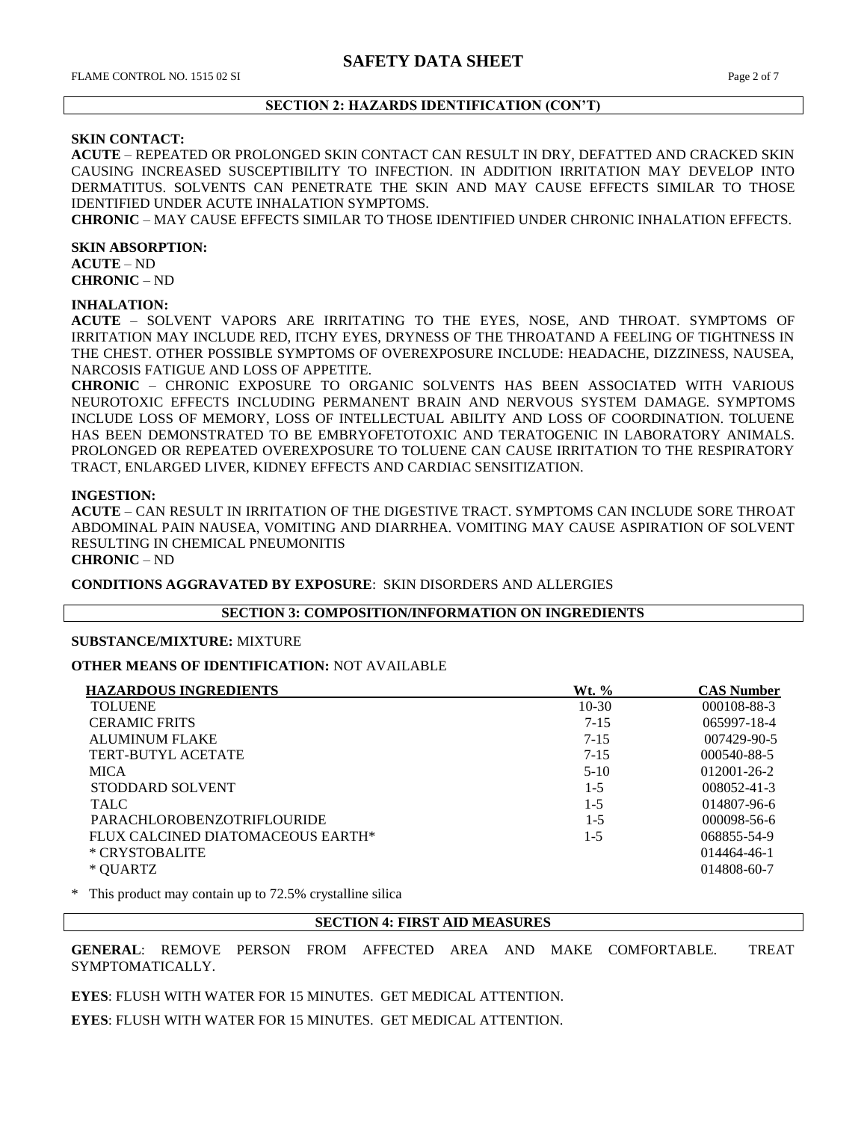### **SECTION 2: HAZARDS IDENTIFICATION (CON'T)**

## **SKIN CONTACT:**

**ACUTE** – REPEATED OR PROLONGED SKIN CONTACT CAN RESULT IN DRY, DEFATTED AND CRACKED SKIN CAUSING INCREASED SUSCEPTIBILITY TO INFECTION. IN ADDITION IRRITATION MAY DEVELOP INTO DERMATITUS. SOLVENTS CAN PENETRATE THE SKIN AND MAY CAUSE EFFECTS SIMILAR TO THOSE IDENTIFIED UNDER ACUTE INHALATION SYMPTOMS.

**CHRONIC** – MAY CAUSE EFFECTS SIMILAR TO THOSE IDENTIFIED UNDER CHRONIC INHALATION EFFECTS.

#### **SKIN ABSORPTION:**

**ACUTE** – ND **CHRONIC** – ND

#### **INHALATION:**

**ACUTE** – SOLVENT VAPORS ARE IRRITATING TO THE EYES, NOSE, AND THROAT. SYMPTOMS OF IRRITATION MAY INCLUDE RED, ITCHY EYES, DRYNESS OF THE THROATAND A FEELING OF TIGHTNESS IN THE CHEST. OTHER POSSIBLE SYMPTOMS OF OVEREXPOSURE INCLUDE: HEADACHE, DIZZINESS, NAUSEA, NARCOSIS FATIGUE AND LOSS OF APPETITE.

**CHRONIC** – CHRONIC EXPOSURE TO ORGANIC SOLVENTS HAS BEEN ASSOCIATED WITH VARIOUS NEUROTOXIC EFFECTS INCLUDING PERMANENT BRAIN AND NERVOUS SYSTEM DAMAGE. SYMPTOMS INCLUDE LOSS OF MEMORY, LOSS OF INTELLECTUAL ABILITY AND LOSS OF COORDINATION. TOLUENE HAS BEEN DEMONSTRATED TO BE EMBRYOFETOTOXIC AND TERATOGENIC IN LABORATORY ANIMALS. PROLONGED OR REPEATED OVEREXPOSURE TO TOLUENE CAN CAUSE IRRITATION TO THE RESPIRATORY TRACT, ENLARGED LIVER, KIDNEY EFFECTS AND CARDIAC SENSITIZATION.

#### **INGESTION:**

**ACUTE** – CAN RESULT IN IRRITATION OF THE DIGESTIVE TRACT. SYMPTOMS CAN INCLUDE SORE THROAT ABDOMINAL PAIN NAUSEA, VOMITING AND DIARRHEA. VOMITING MAY CAUSE ASPIRATION OF SOLVENT RESULTING IN CHEMICAL PNEUMONITIS

**CHRONIC** – ND

**CONDITIONS AGGRAVATED BY EXPOSURE**: SKIN DISORDERS AND ALLERGIES

#### **SECTION 3: COMPOSITION/INFORMATION ON INGREDIENTS**

#### **SUBSTANCE/MIXTURE:** MIXTURE

**OTHER MEANS OF IDENTIFICATION:** NOT AVAILABLE

| <b>HAZARDOUS INGREDIENTS</b>      | Wt. %    | <b>CAS Number</b> |
|-----------------------------------|----------|-------------------|
| <b>TOLUENE</b>                    | $10-30$  | 000108-88-3       |
| <b>CERAMIC FRITS</b>              | $7 - 15$ | 065997-18-4       |
| <b>ALUMINUM FLAKE</b>             | $7 - 15$ | $007429 - 90 - 5$ |
| TERT-BUTYL ACETATE                | $7 - 15$ | 000540-88-5       |
| <b>MICA</b>                       | $5-10$   | $012001 - 26 - 2$ |
| STODDARD SOLVENT                  | $1 - 5$  | $008052 - 41 - 3$ |
| <b>TALC</b>                       | $1 - 5$  | 014807-96-6       |
| <b>PARACHLOROBENZOTRIFLOURIDE</b> | $1 - 5$  | $000098 - 56 - 6$ |
| FLUX CALCINED DIATOMACEOUS EARTH* | $1 - 5$  | 068855-54-9       |
| * CRYSTOBALITE                    |          | 014464-46-1       |
| * QUARTZ                          |          | 014808-60-7       |

This product may contain up to 72.5% crystalline silica

## **SECTION 4: FIRST AID MEASURES**

**GENERAL**: REMOVE PERSON FROM AFFECTED AREA AND MAKE COMFORTABLE. TREAT SYMPTOMATICALLY.

**EYES**: FLUSH WITH WATER FOR 15 MINUTES. GET MEDICAL ATTENTION.

**EYES**: FLUSH WITH WATER FOR 15 MINUTES. GET MEDICAL ATTENTION.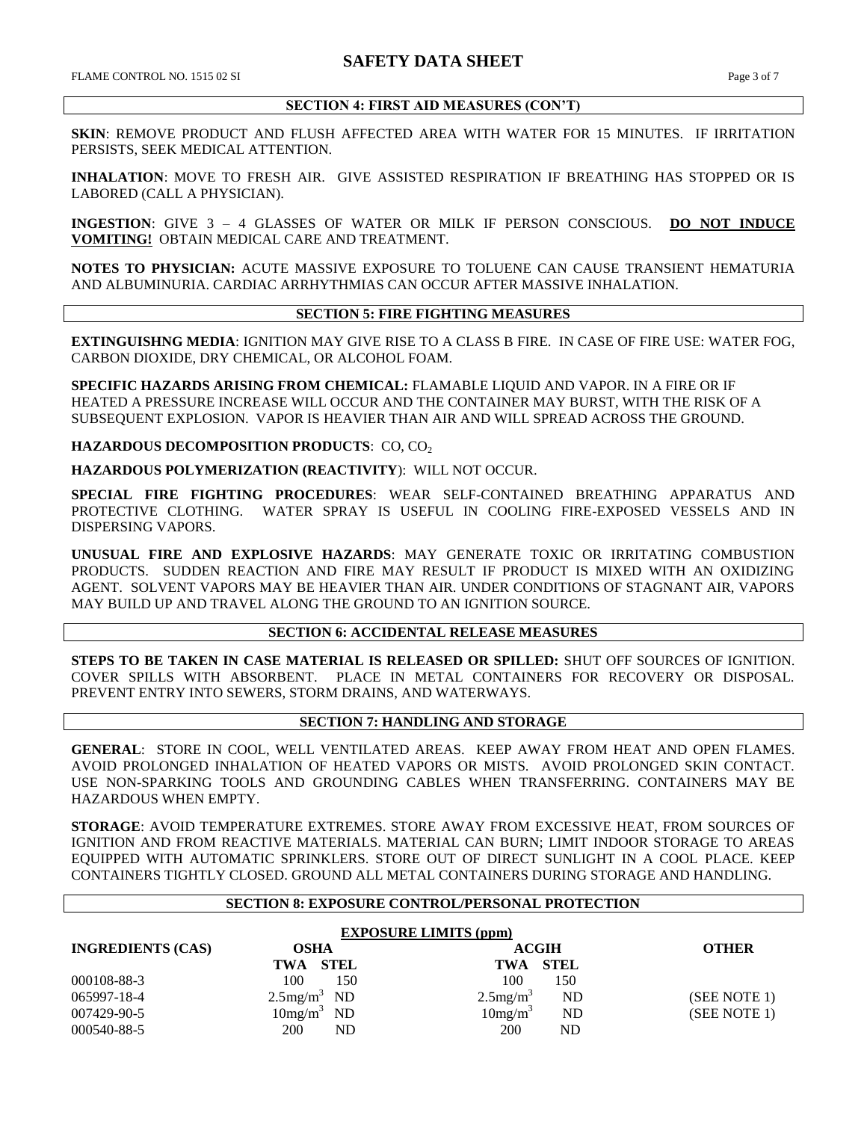## **SECTION 4: FIRST AID MEASURES (CON'T)**

**SKIN**: REMOVE PRODUCT AND FLUSH AFFECTED AREA WITH WATER FOR 15 MINUTES. IF IRRITATION PERSISTS, SEEK MEDICAL ATTENTION.

**INHALATION**: MOVE TO FRESH AIR. GIVE ASSISTED RESPIRATION IF BREATHING HAS STOPPED OR IS LABORED (CALL A PHYSICIAN).

**INGESTION**: GIVE 3 – 4 GLASSES OF WATER OR MILK IF PERSON CONSCIOUS. **DO NOT INDUCE VOMITING!** OBTAIN MEDICAL CARE AND TREATMENT.

**NOTES TO PHYSICIAN:** ACUTE MASSIVE EXPOSURE TO TOLUENE CAN CAUSE TRANSIENT HEMATURIA AND ALBUMINURIA. CARDIAC ARRHYTHMIAS CAN OCCUR AFTER MASSIVE INHALATION.

# **SECTION 5: FIRE FIGHTING MEASURES**

**EXTINGUISHNG MEDIA**: IGNITION MAY GIVE RISE TO A CLASS B FIRE. IN CASE OF FIRE USE: WATER FOG, CARBON DIOXIDE, DRY CHEMICAL, OR ALCOHOL FOAM.

**SPECIFIC HAZARDS ARISING FROM CHEMICAL:** FLAMABLE LIQUID AND VAPOR. IN A FIRE OR IF HEATED A PRESSURE INCREASE WILL OCCUR AND THE CONTAINER MAY BURST, WITH THE RISK OF A SUBSEQUENT EXPLOSION. VAPOR IS HEAVIER THAN AIR AND WILL SPREAD ACROSS THE GROUND.

**HAZARDOUS DECOMPOSITION PRODUCTS: CO, CO<sub>2</sub>** 

**HAZARDOUS POLYMERIZATION (REACTIVITY**): WILL NOT OCCUR.

**SPECIAL FIRE FIGHTING PROCEDURES**: WEAR SELF-CONTAINED BREATHING APPARATUS AND PROTECTIVE CLOTHING. WATER SPRAY IS USEFUL IN COOLING FIRE-EXPOSED VESSELS AND IN DISPERSING VAPORS.

**UNUSUAL FIRE AND EXPLOSIVE HAZARDS**: MAY GENERATE TOXIC OR IRRITATING COMBUSTION PRODUCTS. SUDDEN REACTION AND FIRE MAY RESULT IF PRODUCT IS MIXED WITH AN OXIDIZING AGENT. SOLVENT VAPORS MAY BE HEAVIER THAN AIR. UNDER CONDITIONS OF STAGNANT AIR, VAPORS MAY BUILD UP AND TRAVEL ALONG THE GROUND TO AN IGNITION SOURCE.

## **SECTION 6: ACCIDENTAL RELEASE MEASURES**

**STEPS TO BE TAKEN IN CASE MATERIAL IS RELEASED OR SPILLED:** SHUT OFF SOURCES OF IGNITION. COVER SPILLS WITH ABSORBENT. PLACE IN METAL CONTAINERS FOR RECOVERY OR DISPOSAL. PREVENT ENTRY INTO SEWERS, STORM DRAINS, AND WATERWAYS.

## **SECTION 7: HANDLING AND STORAGE**

**GENERAL**: STORE IN COOL, WELL VENTILATED AREAS. KEEP AWAY FROM HEAT AND OPEN FLAMES. AVOID PROLONGED INHALATION OF HEATED VAPORS OR MISTS. AVOID PROLONGED SKIN CONTACT. USE NON-SPARKING TOOLS AND GROUNDING CABLES WHEN TRANSFERRING. CONTAINERS MAY BE HAZARDOUS WHEN EMPTY.

**STORAGE**: AVOID TEMPERATURE EXTREMES. STORE AWAY FROM EXCESSIVE HEAT, FROM SOURCES OF IGNITION AND FROM REACTIVE MATERIALS. MATERIAL CAN BURN; LIMIT INDOOR STORAGE TO AREAS EQUIPPED WITH AUTOMATIC SPRINKLERS. STORE OUT OF DIRECT SUNLIGHT IN A COOL PLACE. KEEP CONTAINERS TIGHTLY CLOSED. GROUND ALL METAL CONTAINERS DURING STORAGE AND HANDLING.

## **SECTION 8: EXPOSURE CONTROL/PERSONAL PROTECTION**

| <b>EXPOSURE LIMITS (ppm)</b> |                        |                                      |              |  |  |
|------------------------------|------------------------|--------------------------------------|--------------|--|--|
| <b>INGREDIENTS (CAS)</b>     | <b>OSHA</b>            | ACGIH                                | <b>OTHER</b> |  |  |
|                              | TWA STEL               | TWA STEL                             |              |  |  |
| 000108-88-3                  | 100<br>150             | 100<br>150                           |              |  |  |
| 065997-18-4                  | $2.5 \text{mg/m}^3$ ND | $2.5$ mg/m <sup>3</sup><br><b>ND</b> | (SEE NOTE 1) |  |  |
| 007429-90-5                  | $10mg/m^3$ ND          | 10mg/m <sup>3</sup><br>ND            | (SEE NOTE 1) |  |  |
| 000540-88-5                  | 200<br>ND              | 200<br>ND                            |              |  |  |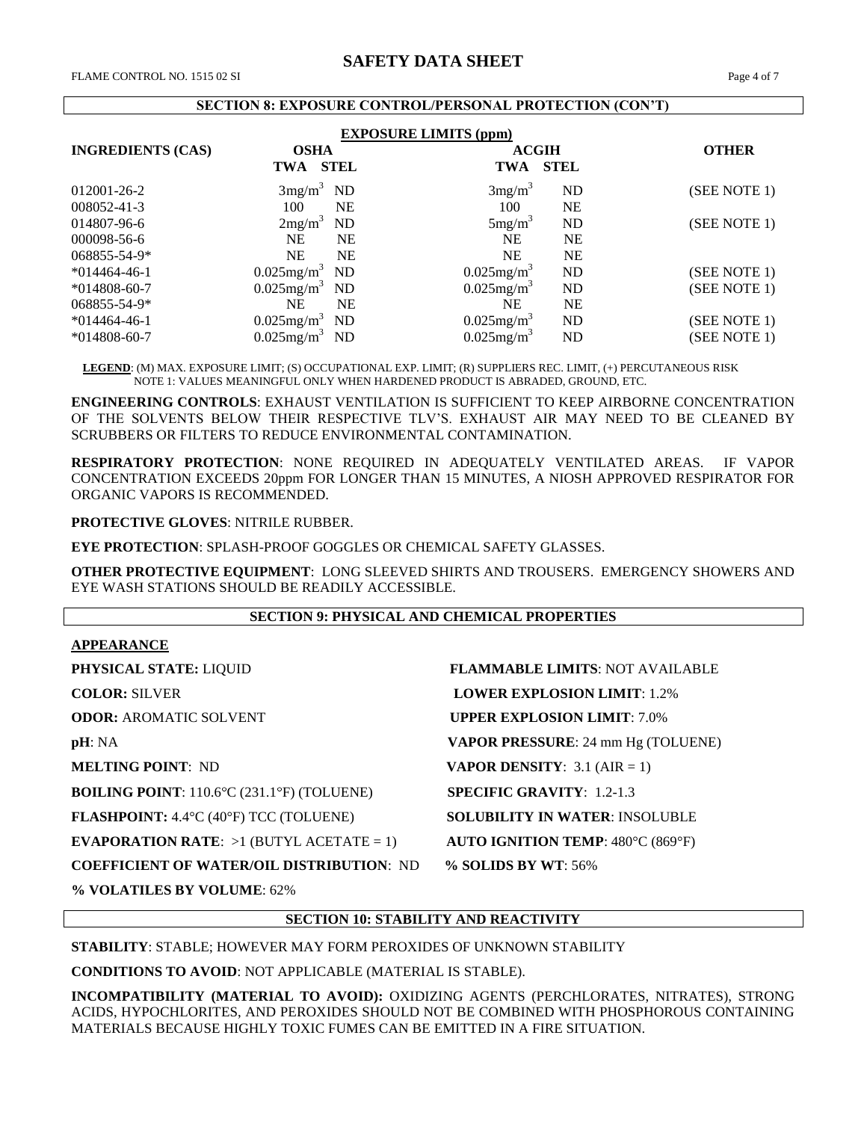#### **SECTION 8: EXPOSURE CONTROL/PERSONAL PROTECTION (CON'T)**

| <b>EXPOSURE LIMITS (ppm)</b> |                           |             |                           |                |              |  |
|------------------------------|---------------------------|-------------|---------------------------|----------------|--------------|--|
| <b>INGREDIENTS (CAS)</b>     | <b>OSHA</b>               |             |                           | <b>ACGIH</b>   | <b>OTHER</b> |  |
|                              | <b>TWA</b>                | <b>STEL</b> | <b>TWA</b>                | <b>STEL</b>    |              |  |
| 012001-26-2                  | $3mg/m^3$ ND              |             | 3mg/m <sup>3</sup>        | N <sub>D</sub> | (SEE NOTE 1) |  |
| 008052-41-3                  | 100                       | <b>NE</b>   | 100                       | <b>NE</b>      |              |  |
| 014807-96-6                  | 2mg/m <sup>3</sup>        | <b>ND</b>   | $5mg/m^3$                 | N <sub>D</sub> | (SEE NOTE 1) |  |
| 000098-56-6                  | <b>NE</b>                 | <b>NE</b>   | NE                        | <b>NE</b>      |              |  |
| 068855-54-9*                 | <b>NE</b>                 | <b>NE</b>   | <b>NE</b>                 | <b>NE</b>      |              |  |
| $*014464-46-1$               | $0.025$ mg/m <sup>3</sup> | ND          | $0.025$ mg/m <sup>3</sup> | <b>ND</b>      | (SEE NOTE 1) |  |
| $*014808-60-7$               | $0.025$ mg/m <sup>3</sup> | <b>ND</b>   | $0.025$ mg/m <sup>3</sup> | <b>ND</b>      | (SEE NOTE 1) |  |
| 068855-54-9*                 | NE                        | <b>NE</b>   | <b>NE</b>                 | <b>NE</b>      |              |  |
| $*014464-46-1$               | $0.025$ mg/m <sup>3</sup> | <b>ND</b>   | $0.025$ mg/m <sup>3</sup> | <b>ND</b>      | (SEE NOTE 1) |  |
| $*014808-60-7$               | $0.025$ mg/m <sup>3</sup> | ND          | $0.025$ mg/m <sup>3</sup> | <b>ND</b>      | (SEE NOTE 1) |  |

 **LEGEND**: (M) MAX. EXPOSURE LIMIT; (S) OCCUPATIONAL EXP. LIMIT; (R) SUPPLIERS REC. LIMIT, (+) PERCUTANEOUS RISK NOTE 1: VALUES MEANINGFUL ONLY WHEN HARDENED PRODUCT IS ABRADED, GROUND, ETC.

**ENGINEERING CONTROLS**: EXHAUST VENTILATION IS SUFFICIENT TO KEEP AIRBORNE CONCENTRATION OF THE SOLVENTS BELOW THEIR RESPECTIVE TLV'S. EXHAUST AIR MAY NEED TO BE CLEANED BY SCRUBBERS OR FILTERS TO REDUCE ENVIRONMENTAL CONTAMINATION.

**RESPIRATORY PROTECTION**: NONE REQUIRED IN ADEQUATELY VENTILATED AREAS. IF VAPOR CONCENTRATION EXCEEDS 20ppm FOR LONGER THAN 15 MINUTES, A NIOSH APPROVED RESPIRATOR FOR ORGANIC VAPORS IS RECOMMENDED.

**PROTECTIVE GLOVES**: NITRILE RUBBER.

**EYE PROTECTION**: SPLASH-PROOF GOGGLES OR CHEMICAL SAFETY GLASSES.

**OTHER PROTECTIVE EQUIPMENT**: LONG SLEEVED SHIRTS AND TROUSERS. EMERGENCY SHOWERS AND EYE WASH STATIONS SHOULD BE READILY ACCESSIBLE.

## **SECTION 9: PHYSICAL AND CHEMICAL PROPERTIES**

#### **APPEARANCE**

**PHYSICAL STATE:** LIQUID **FLAMMABLE LIMITS**: NOT AVAILABLE **COLOR: SILVER <b>LOWER EXPLOSION LIMIT**: 1.2% **ODOR: AROMATIC SOLVENT <b>UPPER EXPLOSION LIMIT**: 7.0% **pH**: NA **VAPOR PRESSURE**: 24 mm Hg (TOLUENE) **MELTING POINT**: ND **VAPOR DENSITY**: 3.1 (AIR = 1) **BOILING POINT**: 110.6°C (231.1°F) (TOLUENE) **SPECIFIC GRAVITY**: 1.2-1.3 **FLASHPOINT:** 4.4°C (40°F) TCC (TOLUENE) **SOLUBILITY IN WATER**: INSOLUBLE **EVAPORATION RATE**: >1 (BUTYL ACETATE = 1) **AUTO IGNITION TEMP**: 480°C (869°F) **COEFFICIENT OF WATER/OIL DISTRIBUTION**: ND **% SOLIDS BY WT**: 56%

**% VOLATILES BY VOLUME**: 62%

**SECTION 10: STABILITY AND REACTIVITY**

**STABILITY**: STABLE; HOWEVER MAY FORM PEROXIDES OF UNKNOWN STABILITY

**CONDITIONS TO AVOID**: NOT APPLICABLE (MATERIAL IS STABLE).

**INCOMPATIBILITY (MATERIAL TO AVOID):** OXIDIZING AGENTS (PERCHLORATES, NITRATES), STRONG ACIDS, HYPOCHLORITES, AND PEROXIDES SHOULD NOT BE COMBINED WITH PHOSPHOROUS CONTAINING MATERIALS BECAUSE HIGHLY TOXIC FUMES CAN BE EMITTED IN A FIRE SITUATION.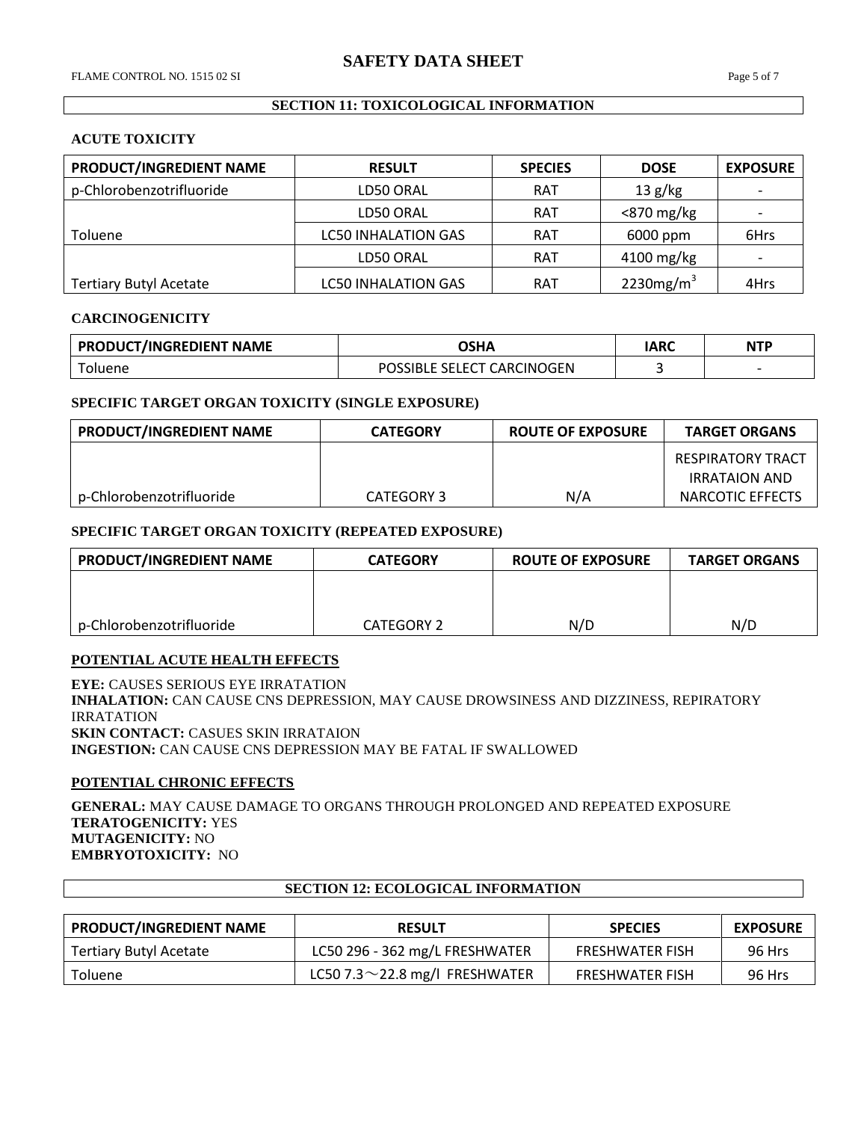### **SECTION 11: TOXICOLOGICAL INFORMATION**

#### **ACUTE TOXICITY**

| PRODUCT/INGREDIENT NAME       | <b>RESULT</b>              | <b>SPECIES</b> | <b>DOSE</b>   | <b>EXPOSURE</b> |
|-------------------------------|----------------------------|----------------|---------------|-----------------|
| p-Chlorobenzotrifluoride      | LD50 ORAL                  | <b>RAT</b>     | 13 g/kg       |                 |
|                               | LD50 ORAL                  | <b>RAT</b>     | $<$ 870 mg/kg |                 |
| <b>Toluene</b>                | <b>LC50 INHALATION GAS</b> | <b>RAT</b>     | 6000 ppm      | 6Hrs            |
|                               | LD50 ORAL                  | <b>RAT</b>     | $4100$ mg/kg  |                 |
| <b>Tertiary Butyl Acetate</b> | <b>LC50 INHALATION GAS</b> | <b>RAT</b>     | 2230 $mg/m3$  | 4Hrs            |

#### **CARCINOGENICITY**

| <b>PRODUCT/INGREDIENT NAME</b> | OSHA                                        | IARC | <b>NTP</b> |
|--------------------------------|---------------------------------------------|------|------------|
| oluene                         | <b>SELECT CARCINOGEN</b><br><b>POSSIBLE</b> |      |            |

#### **SPECIFIC TARGET ORGAN TOXICITY (SINGLE EXPOSURE)**

| <b>PRODUCT/INGREDIENT NAME</b> | <b>CATEGORY</b> | ROUTE OF EXPOSURE | <b>TARGET ORGANS</b>                      |
|--------------------------------|-----------------|-------------------|-------------------------------------------|
|                                |                 |                   | RESPIRATORY TRACT<br><b>IRRATAION AND</b> |
| p-Chlorobenzotrifluoride       | CATEGORY 3      | N/A               | NARCOTIC EFFECTS                          |

#### **SPECIFIC TARGET ORGAN TOXICITY (REPEATED EXPOSURE)**

| <b>PRODUCT/INGREDIENT NAME</b> | <b>CATEGORY</b>   | <b>ROUTE OF EXPOSURE</b> | <b>TARGET ORGANS</b> |
|--------------------------------|-------------------|--------------------------|----------------------|
|                                |                   |                          |                      |
|                                |                   |                          |                      |
| p-Chlorobenzotrifluoride       | <b>CATEGORY 2</b> | N/D                      | N/D                  |

## **POTENTIAL ACUTE HEALTH EFFECTS**

**EYE:** CAUSES SERIOUS EYE IRRATATION **INHALATION:** CAN CAUSE CNS DEPRESSION, MAY CAUSE DROWSINESS AND DIZZINESS, REPIRATORY IRRATATION **SKIN CONTACT:** CASUES SKIN IRRATAION **INGESTION:** CAN CAUSE CNS DEPRESSION MAY BE FATAL IF SWALLOWED

## **POTENTIAL CHRONIC EFFECTS**

**GENERAL:** MAY CAUSE DAMAGE TO ORGANS THROUGH PROLONGED AND REPEATED EXPOSURE **TERATOGENICITY:** YES **MUTAGENICITY:** NO **EMBRYOTOXICITY:** NO

| <b>PRODUCT/INGREDIENT NAME</b> | <b>RESULT</b>                        | <b>SPECIES</b>         | <b>EXPOSURE</b> |
|--------------------------------|--------------------------------------|------------------------|-----------------|
| <b>Tertiary Butyl Acetate</b>  | LC50 296 - 362 mg/L FRESHWATER       | <b>FRESHWATER FISH</b> | 96 Hrs          |
| <b>Toluene</b>                 | LC50 7.3 $\sim$ 22.8 mg/l FRESHWATER | <b>FRESHWATER FISH</b> | 96 Hrs          |

# **SECTION 12: ECOLOGICAL INFORMATION**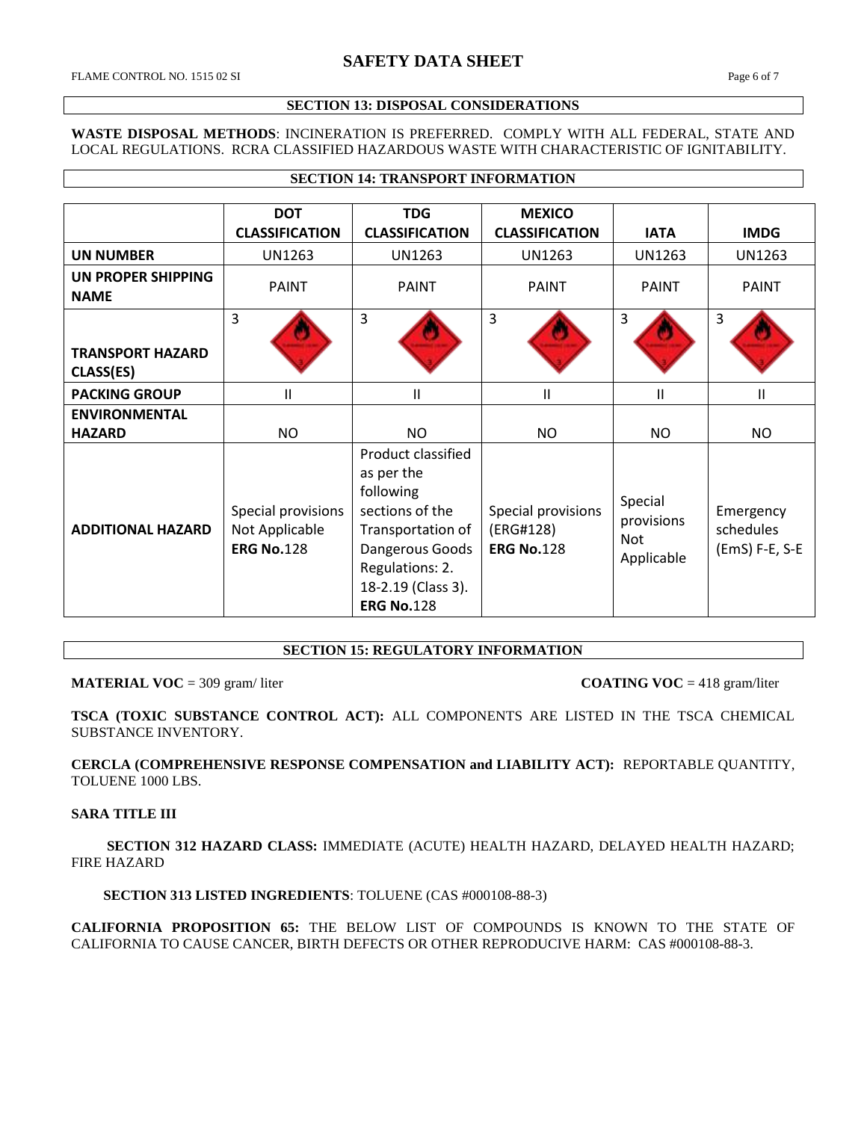FLAME CONTROL NO. 1515 02 SI Page 6 of 7

Г

## **SECTION 13: DISPOSAL CONSIDERATIONS**

**WASTE DISPOSAL METHODS**: INCINERATION IS PREFERRED. COMPLY WITH ALL FEDERAL, STATE AND LOCAL REGULATIONS. RCRA CLASSIFIED HAZARDOUS WASTE WITH CHARACTERISTIC OF IGNITABILITY.

**SECTION 14: TRANSPORT INFORMATION**

|                                             | <b>DOT</b><br><b>CLASSIFICATION</b>                       | <b>TDG</b><br><b>CLASSIFICATION</b>                                                                                                                                    | <b>MEXICO</b><br><b>CLASSIFICATION</b>               | <b>IATA</b>                                | <b>IMDG</b>                              |
|---------------------------------------------|-----------------------------------------------------------|------------------------------------------------------------------------------------------------------------------------------------------------------------------------|------------------------------------------------------|--------------------------------------------|------------------------------------------|
| <b>UN NUMBER</b>                            | <b>UN1263</b>                                             | <b>UN1263</b>                                                                                                                                                          | <b>UN1263</b>                                        | <b>UN1263</b>                              | <b>UN1263</b>                            |
| UN PROPER SHIPPING<br><b>NAME</b>           | <b>PAINT</b>                                              | <b>PAINT</b>                                                                                                                                                           | <b>PAINT</b>                                         | <b>PAINT</b>                               | <b>PAINT</b>                             |
| <b>TRANSPORT HAZARD</b><br><b>CLASS(ES)</b> | 3                                                         | 3                                                                                                                                                                      | 3                                                    | $\overline{3}$                             | 3                                        |
| <b>PACKING GROUP</b>                        | $\mathsf{II}$                                             | Ш                                                                                                                                                                      | П                                                    | Ш                                          | $\mathsf{II}$                            |
| <b>ENVIRONMENTAL</b>                        |                                                           |                                                                                                                                                                        |                                                      |                                            |                                          |
| <b>HAZARD</b>                               | <b>NO</b>                                                 | NO                                                                                                                                                                     | <b>NO</b>                                            | NO                                         | <b>NO</b>                                |
| <b>ADDITIONAL HAZARD</b>                    | Special provisions<br>Not Applicable<br><b>ERG No.128</b> | Product classified<br>as per the<br>following<br>sections of the<br>Transportation of<br>Dangerous Goods<br>Regulations: 2.<br>18-2.19 (Class 3).<br><b>ERG No.128</b> | Special provisions<br>(ERG#128)<br><b>ERG No.128</b> | Special<br>provisions<br>Not<br>Applicable | Emergency<br>schedules<br>(EmS) F-E, S-E |

# **SECTION 15: REGULATORY INFORMATION**

**MATERIAL VOC** = 309 gram/liter **COATING VOC** = 418 gram/liter

**TSCA (TOXIC SUBSTANCE CONTROL ACT):** ALL COMPONENTS ARE LISTED IN THE TSCA CHEMICAL SUBSTANCE INVENTORY.

**CERCLA (COMPREHENSIVE RESPONSE COMPENSATION and LIABILITY ACT):** REPORTABLE QUANTITY, TOLUENE 1000 LBS.

## **SARA TITLE III**

 **SECTION 312 HAZARD CLASS:** IMMEDIATE (ACUTE) HEALTH HAZARD, DELAYED HEALTH HAZARD; FIRE HAZARD

 **SECTION 313 LISTED INGREDIENTS**: TOLUENE (CAS #000108-88-3)

**CALIFORNIA PROPOSITION 65:** THE BELOW LIST OF COMPOUNDS IS KNOWN TO THE STATE OF CALIFORNIA TO CAUSE CANCER, BIRTH DEFECTS OR OTHER REPRODUCIVE HARM: CAS #000108-88-3.